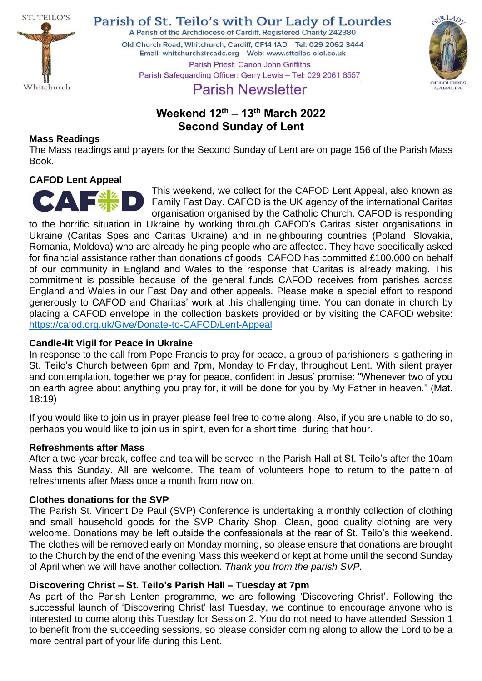

Parish of St. Teilo's with Our Lady of Lourdes

A Parish of the Archdiocese of Cardiff, Registered Charity 242380

Old Church Road, Whitchurch, Cardiff, CF14 1AD Tel: 029 2062 3444 Parish Priest: Canon John Griffiths



Parish Safeguarding Officer: Gerry Lewis - Tel: 029 2061 6557

# **Parish Newsletter**

## **Weekend 12th – 13th March 2022 Second Sunday of Lent**

## **Mass Readings**

The Mass readings and prayers for the Second Sunday of Lent are on page 156 of the Parish Mass Book.

## **CAFOD Lent Appeal**



This weekend, we collect for the CAFOD Lent Appeal, also known as Family Fast Day. CAFOD is the UK agency of the international Caritas organisation organised by the Catholic Church. CAFOD is responding

to the horrific situation in Ukraine by working through CAFOD's Caritas sister organisations in Ukraine (Caritas Spes and Caritas Ukraine) and in neighbouring countries (Poland, Slovakia, Romania, Moldova) who are already helping people who are affected. They have specifically asked for financial assistance rather than donations of goods. CAFOD has committed £100,000 on behalf of our community in England and Wales to the response that Caritas is already making. This commitment is possible because of the general funds CAFOD receives from parishes across England and Wales in our Fast Day and other appeals. Please make a special effort to respond generously to CAFOD and Charitas' work at this challenging time. You can donate in church by placing a CAFOD envelope in the collection baskets provided or by visiting the CAFOD website: <https://cafod.org.uk/Give/Donate-to-CAFOD/Lent-Appeal>

#### **Candle-lit Vigil for Peace in Ukraine**

In response to the call from Pope Francis to pray for peace, a group of parishioners is gathering in St. Teilo's Church between 6pm and 7pm, Monday to Friday, throughout Lent. With silent prayer and contemplation, together we pray for peace, confident in Jesus' promise: "Whenever two of you on earth agree about anything you pray for, it will be done for you by My Father in heaven." (Mat. 18:19)

If you would like to join us in prayer please feel free to come along. Also, if you are unable to do so, perhaps you would like to join us in spirit, even for a short time, during that hour.

#### **Refreshments after Mass**

After a two-year break, coffee and tea will be served in the Parish Hall at St. Teilo's after the 10am Mass this Sunday. All are welcome. The team of volunteers hope to return to the pattern of refreshments after Mass once a month from now on.

#### **Clothes donations for the SVP**

The Parish St. Vincent De Paul (SVP) Conference is undertaking a monthly collection of clothing and small household goods for the SVP Charity Shop. Clean, good quality clothing are very welcome. Donations may be left outside the confessionals at the rear of St. Teilo's this weekend. The clothes will be removed early on Monday morning, so please ensure that donations are brought to the Church by the end of the evening Mass this weekend or kept at home until the second Sunday of April when we will have another collection. *Thank you from the parish SVP.*

## **Discovering Christ – St. Teilo's Parish Hall – Tuesday at 7pm**

As part of the Parish Lenten programme, we are following 'Discovering Christ'. Following the successful launch of 'Discovering Christ' last Tuesday, we continue to encourage anyone who is interested to come along this Tuesday for Session 2. You do not need to have attended Session 1 to benefit from the succeeding sessions, so please consider coming along to allow the Lord to be a more central part of your life during this Lent.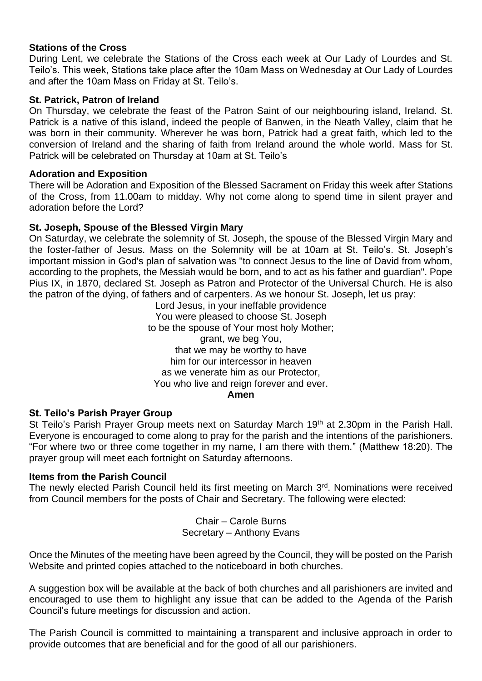#### **Stations of the Cross**

During Lent, we celebrate the Stations of the Cross each week at Our Lady of Lourdes and St. Teilo's. This week, Stations take place after the 10am Mass on Wednesday at Our Lady of Lourdes and after the 10am Mass on Friday at St. Teilo's.

#### **St. Patrick, Patron of Ireland**

On Thursday, we celebrate the feast of the Patron Saint of our neighbouring island, Ireland. St. Patrick is a native of this island, indeed the people of Banwen, in the Neath Valley, claim that he was born in their community. Wherever he was born, Patrick had a great faith, which led to the conversion of Ireland and the sharing of faith from Ireland around the whole world. Mass for St. Patrick will be celebrated on Thursday at 10am at St. Teilo's

#### **Adoration and Exposition**

There will be Adoration and Exposition of the Blessed Sacrament on Friday this week after Stations of the Cross, from 11.00am to midday. Why not come along to spend time in silent prayer and adoration before the Lord?

#### **St. Joseph, Spouse of the Blessed Virgin Mary**

On Saturday, we celebrate the solemnity of St. Joseph, the spouse of the Blessed Virgin Mary and the foster-father of Jesus. Mass on the Solemnity will be at 10am at St. Teilo's. St. Joseph's important mission in God's plan of salvation was "to connect Jesus to the line of David from whom, according to the prophets, the Messiah would be born, and to act as his father and guardian". Pope Pius IX, in 1870, declared St. Joseph as Patron and Protector of the Universal Church. He is also the patron of the dying, of fathers and of carpenters. As we honour St. Joseph, let us pray:

Lord Jesus, in your ineffable providence You were pleased to choose St. Joseph to be the spouse of Your most holy Mother; grant, we beg You, that we may be worthy to have him for our intercessor in heaven as we venerate him as our Protector, You who live and reign forever and ever. **Amen**

#### **St. Teilo's Parish Prayer Group**

St Teilo's Parish Prayer Group meets next on Saturday March 19<sup>th</sup> at 2.30pm in the Parish Hall. Everyone is encouraged to come along to pray for the parish and the intentions of the parishioners. "For where two or three come together in my name, I am there with them." (Matthew 18:20). The prayer group will meet each fortnight on Saturday afternoons.

#### **Items from the Parish Council**

The newly elected Parish Council held its first meeting on March 3<sup>rd</sup>. Nominations were received from Council members for the posts of Chair and Secretary. The following were elected:

> Chair – Carole Burns Secretary – Anthony Evans

Once the Minutes of the meeting have been agreed by the Council, they will be posted on the Parish Website and printed copies attached to the noticeboard in both churches.

A suggestion box will be available at the back of both churches and all parishioners are invited and encouraged to use them to highlight any issue that can be added to the Agenda of the Parish Council's future meetings for discussion and action.

The Parish Council is committed to maintaining a transparent and inclusive approach in order to provide outcomes that are beneficial and for the good of all our parishioners.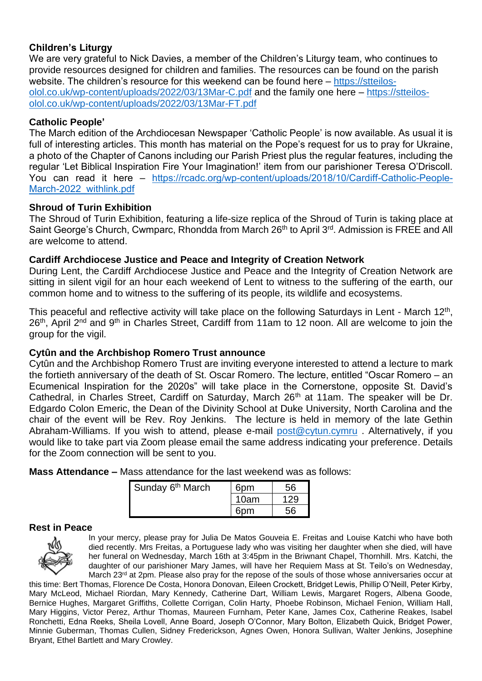## **Children's Liturgy**

We are very grateful to Nick Davies, a member of the Children's Liturgy team, who continues to provide resources designed for children and families. The resources can be found on the parish website. The children's resource for this weekend can be found here – [https://stteilos](https://stteilos-olol.co.uk/wp-content/uploads/2022/03/13Mar-C.pdf)[olol.co.uk/wp-content/uploads/2022/03/13Mar-C.pdf](https://stteilos-olol.co.uk/wp-content/uploads/2022/03/13Mar-C.pdf) and the family one here – [https://stteilos](https://stteilos-olol.co.uk/wp-content/uploads/2022/03/13Mar-FT.pdf)[olol.co.uk/wp-content/uploads/2022/03/13Mar-FT.pdf](https://stteilos-olol.co.uk/wp-content/uploads/2022/03/13Mar-FT.pdf) 

## **Catholic People'**

The March edition of the Archdiocesan Newspaper 'Catholic People' is now available. As usual it is full of interesting articles. This month has material on the Pope's request for us to pray for Ukraine, a photo of the Chapter of Canons including our Parish Priest plus the regular features, including the regular 'Let Biblical Inspiration Fire Your Imagination!' item from our parishioner Teresa O'Driscoll. You can read it here – [https://rcadc.org/wp-content/uploads/2018/10/Cardiff-Catholic-People-](https://rcadc.org/wp-content/uploads/2018/10/Cardiff-Catholic-People-March-2022_withlink.pdf)[March-2022\\_withlink.pdf](https://rcadc.org/wp-content/uploads/2018/10/Cardiff-Catholic-People-March-2022_withlink.pdf)

#### **Shroud of Turin Exhibition**

The Shroud of Turin Exhibition, featuring a life-size replica of the Shroud of Turin is taking place at Saint George's Church, Cwmparc, Rhondda from March 26<sup>th</sup> to April 3<sup>rd</sup>. Admission is FREE and All are welcome to attend.

#### **Cardiff Archdiocese Justice and Peace and Integrity of Creation Network**

During Lent, the Cardiff Archdiocese Justice and Peace and the Integrity of Creation Network are sitting in silent vigil for an hour each weekend of Lent to witness to the suffering of the earth, our common home and to witness to the suffering of its people, its wildlife and ecosystems.

This peaceful and reflective activity will take place on the following Saturdays in Lent - March 12<sup>th</sup>, 26<sup>th</sup>, April 2<sup>nd</sup> and 9<sup>th</sup> in Charles Street, Cardiff from 11am to 12 noon. All are welcome to join the group for the vigil.

#### **Cytûn and the Archbishop Romero Trust announce**

Cytûn and the Archbishop Romero Trust are inviting everyone interested to attend a lecture to mark the fortieth anniversary of the death of St. Oscar Romero. The lecture, entitled "Oscar Romero – an Ecumenical Inspiration for the 2020s" will take place in the Cornerstone, opposite St. David's Cathedral, in Charles Street, Cardiff on Saturday, March 26<sup>th</sup> at 11am. The speaker will be Dr. Edgardo Colon Emeric, the Dean of the Divinity School at Duke University, North Carolina and the chair of the event will be Rev. Roy Jenkins. The lecture is held in memory of the late Gethin Abraham-Williams. If you wish to attend, please e-mail [post@cytun.cymru](mailto:post@cytun.cymru) . Alternatively, if you would like to take part via Zoom please email the same address indicating your preference. Details for the Zoom connection will be sent to you.

**Mass Attendance –** Mass attendance for the last weekend was as follows:

| Sunday 6 <sup>th</sup> March | 6nm  |    |
|------------------------------|------|----|
|                              | 10am |    |
|                              |      | รค |

#### **Rest in Peace**



In your mercy, please pray for Julia De Matos Gouveia E. Freitas and Louise Katchi who have both died recently. Mrs Freitas, a Portuguese lady who was visiting her daughter when she died, will have her funeral on Wednesday, March 16th at 3:45pm in the Briwnant Chapel, Thornhill. Mrs. Katchi, the daughter of our parishioner Mary James, will have her Requiem Mass at St. Teilo's on Wednesday, March 23<sup>rd</sup> at 2pm. Please also pray for the repose of the souls of those whose anniversaries occur at

this time: Bert Thomas, Florence De Costa, Honora Donovan, Eileen Crockett, Bridget Lewis, Phillip O'Neill, Peter Kirby, Mary McLeod, Michael Riordan, Mary Kennedy, Catherine Dart, William Lewis, Margaret Rogers, Albena Goode, Bernice Hughes, Margaret Griffiths, Collette Corrigan, Colin Harty, Phoebe Robinson, Michael Fenion, William Hall, Mary Higgins, Victor Perez, Arthur Thomas, Maureen Furnham, Peter Kane, James Cox, Catherine Reakes, Isabel Ronchetti, Edna Reeks, Sheila Lovell, Anne Board, Joseph O'Connor, Mary Bolton, Elizabeth Quick, Bridget Power, Minnie Guberman, Thomas Cullen, Sidney Frederickson, Agnes Owen, Honora Sullivan, Walter Jenkins, Josephine Bryant, Ethel Bartlett and Mary Crowley.